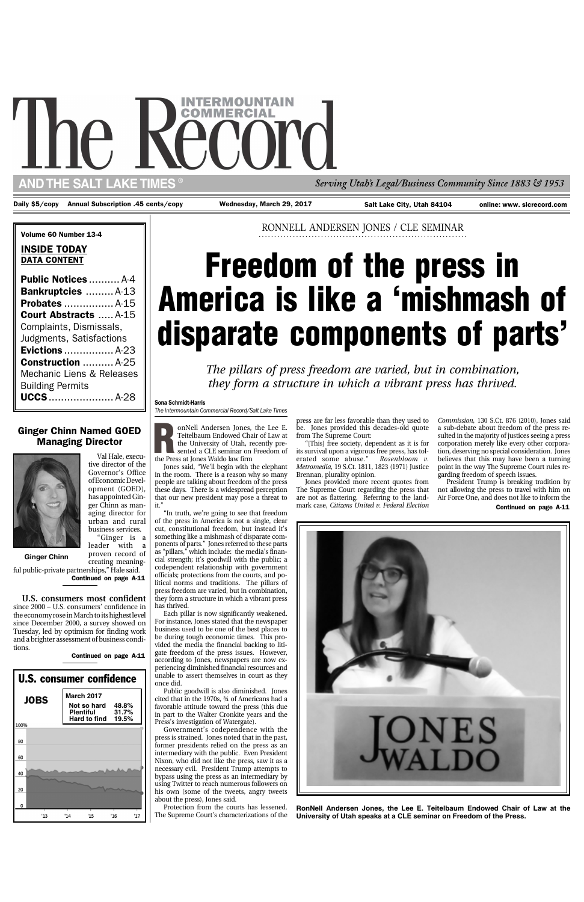RONNELL ANDERSEN JONES / CLE SEMINAR

**Freedom of the press in**

**America is like a 'mishmash of**

*The pillars of press freedom are varied, but in combination, they form a structure in which a vibrant press has thrived.* Sona Schmidt-Harris *The Intermountain Commercial Record/Salt Lake Times*

**disparate components of parts'**

# The Record *Serving Utah's Legal/Business Community Since 1883 & 1953* ®

**...................................................................**

Daily \$5/copy Annual Subscription .45 cents/copy Wednesday, March 29, 2017 Salt Lake City, Utah 84104

**AND THE SALT LAKE TIMES**

online: www. slcrecord.com

#### Volume 60 Number 13-4

Jones said, "We'll begin with the elephant in the room. There is a reason why so many people are talking about freedom of the press these days. There is a widespread perception that our new president may pose a threat to it.

#### INSIDE TODAY DATA CONTENT

| <b>Public Notices</b> A-4    |  |
|------------------------------|--|
| Bankruptcies  A-13           |  |
|                              |  |
| <b>Court Abstracts  A-15</b> |  |
| Complaints, Dismissals,      |  |
| Judgments, Satisfactions     |  |
| <b>Evictions</b> A-23        |  |
| <b>Construction</b> A-25     |  |
| Mechanic Liens & Releases    |  |
| <b>Building Permits</b>      |  |
| <b>UCCS</b> A-28             |  |

**R** the Press at Jones Waldo law firm onNell Andersen Jones, the Lee E. Teitelbaum Endowed Chair of Law at the University of Utah, recently presented a CLE seminar on Freedom of

Val Hale, executive director of the Governor's Office of Economic Development (GOED), has appointed Ginger Chinn as managing director for urban and rural business services.

"Ginger is a leader with a

"In truth, we're going to see that freedom of the press in America is not a single, clear cut, constitutional freedom, but instead it's something like a mishmash of disparate components of parts." Jones referred to these parts as "pillars," which include: the media's financial strength; it's goodwill with the public; a codependent relationship with government officials; protections from the courts, and political norms and traditions. The pillars of press freedom are varied, but in combination, they form a structure in which a vibrant press has thrived.

Each pillar is now significantly weakened. For instance, Jones stated that the newspaper business used to be one of the best places to be during tough economic times. This provided the media the financial backing to litigate freedom of the press issues. However, according to Jones, newspapers are now experiencing diminished financial resources and unable to assert themselves in court as they

Continued on page A-11 proven record of creating meaningful public-private partnerships," Hale said.

once did.

Public goodwill is also diminished. Jones cited that in the 1970s, ¾ of Americans had a favorable attitude toward the press (this due in part to the Walter Cronkite years and the Press's investigation of Watergate).

Government's codependence with the press is strained. Jones noted that in the past, former presidents relied on the press as an intermediary with the public. Even President Nixon, who did not like the press, saw it as a necessary evil. President Trump attempts to bypass using the press as an intermediary by using Twitter to reach numerous followers on his own (some of the tweets, angry tweets about the press), Jones said.

Protection from the courts has lessened. The Supreme Court's characterizations of the

**RonNell Andersen Jones, the Lee E. Teitelbaum Endowed Chair of Law at the University of Utah speaks at a CLE seminar on Freedom of the Press.**

press are far less favorable than they used to be. Jones provided this decades-old quote from The Supreme Court:

"[This] free society, dependent as it is for its survival upon a vigorous free press, has tolerated some abuse." *Rosenbloom v. Metromedia,* 19 S.Ct. 1811, 1823 (1971) Justice Brennan, plurality opinion.

Jones provided more recent quotes from The Supreme Court regarding the press that are not as flattering. Referring to the landmark case, *Citizens United v. Federal Election*

*Commission,* 130 S.Ct. 876 (2010), Jones said a sub-debate about freedom of the press resulted in the majority of justices seeing a press corporation merely like every other corporation, deserving no special consideration. Jones believes that this may have been a turning point in the way The Supreme Court rules regarding freedom of speech issues.

President Trump is breaking tradition by not allowing the press to travel with him on Air Force One, and does not like to inform the Continued on page A-11



#### Ginger Chinn Named GOED Managing Director



**Ginger Chinn**





**U.S. consumers most confident** since 2000 – U.S. consumers' confidence in the economy rose in March to its highest level since December 2000, a survey showed on Tuesday, led by optimism for finding work and a brighter assessment of business conditions.

Continued on page A-11